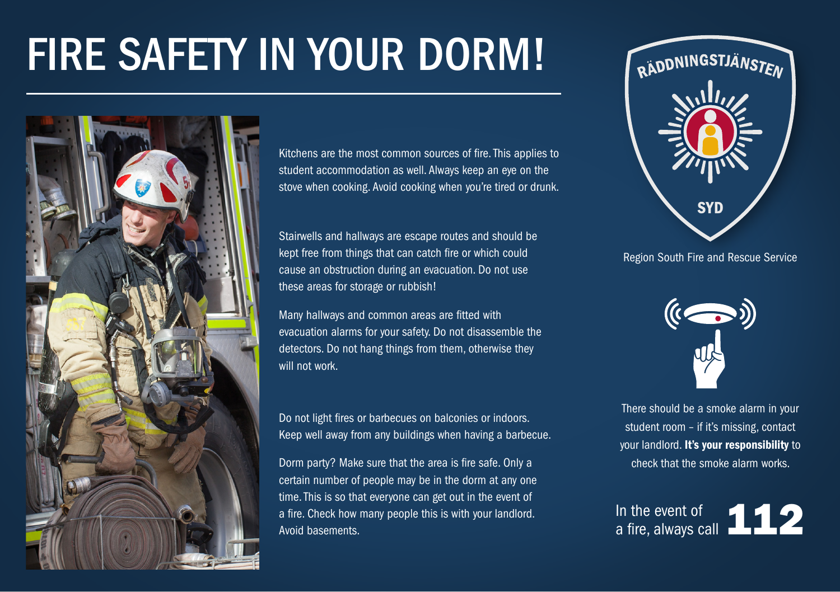# FIRE SAFETY IN YOUR DORM!



Kitchens are the most common sources of fire. This applies to student accommodation as well. Always keep an eye on the stove when cooking. Avoid cooking when you're tired or drunk.

Stairwells and hallways are escape routes and should be kept free from things that can catch fire or which could cause an obstruction during an evacuation. Do not use these areas for storage or rubbish!

Many hallways and common areas are fitted with evacuation alarms for your safety. Do not disassemble the detectors. Do not hang things from them, otherwise they will not work

Do not light fires or barbecues on balconies or indoors. Keep well away from any buildings when having a barbecue.

Dorm party? Make sure that the area is fire safe. Only a certain number of people may be in the dorm at any one time. This is so that everyone can get out in the event of a fire. Check how many people this is with your landlord. Avoid basements.



Region South Fire and Rescue Service



There should be a smoke alarm in your student room – if it's missing, contact your landlord. It's your responsibility to check that the smoke alarm works.

In the event of  $\blacksquare$ 12